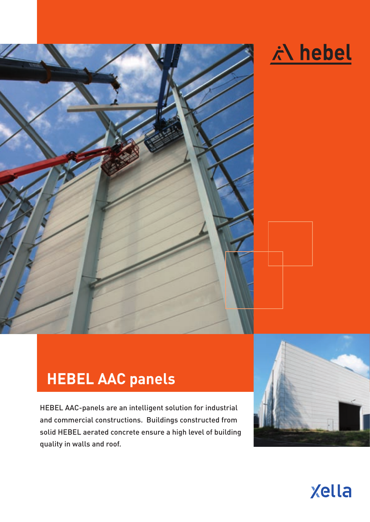

# **HEBEL AAC panels**

HEBEL AAC-panels are an intelligent solution for industrial and commercial constructions. Buildings constructed from solid HEBEL aerated concrete ensure a high level of building quality in walls and roof.



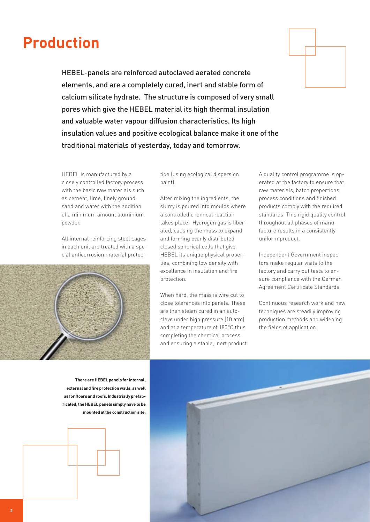# **Production**

HEBEL-panels are reinforced autoclaved aerated concrete elements, and are a completely cured, inert and stable form of calcium silicate hydrate. The structure is composed of very small pores which give the HEBEL material its high thermal insulation and valuable water vapour diffusion characteristics. Its high insulation values and positive ecological balance make it one of the traditional materials of yesterday, today and tomorrow.

HEBEL is manufactured by a closely controlled factory process with the basic raw materials such as cement, lime, finely ground sand and water with the addition of a minimum amount aluminium powder.

All internal reinforcing steel cages in each unit are treated with a special anticorrosion material protec-



**There are HEBEL panels for internal, external and fire protection walls, as well as for floors and roofs. Industrially prefabricated, the HEBEL panels simply have to be mounted at the construction site.**

tion (using ecological dispersion paint).

After mixing the ingredients, the slurry is poured into moulds where a controlled chemical reaction takes place. Hydrogen gas is liberated, causing the mass to expand and forming evenly distributed closed spherical cells that give HEBEL its unique physical properties, combining low density with excellence in insulation and fire protection.

When hard, the mass is wire cut to close tolerances into panels. These are then steam cured in an autoclave under high pressure (10 atm) and at a temperature of 180°C thus completing the chemical process and ensuring a stable, inert product. A quality control programme is operated at the factory to ensure that raw materials, batch proportions, process conditions and finished products comply with the required standards. This rigid quality control throughout all phases of manufacture results in a consistently uniform product.

Independent Government inspectors make regular visits to the factory and carry out tests to ensure compliance with the German Agreement Certificate Standards.

Continuous research work and new techniques are steadily improving production methods and widening the fields of application.

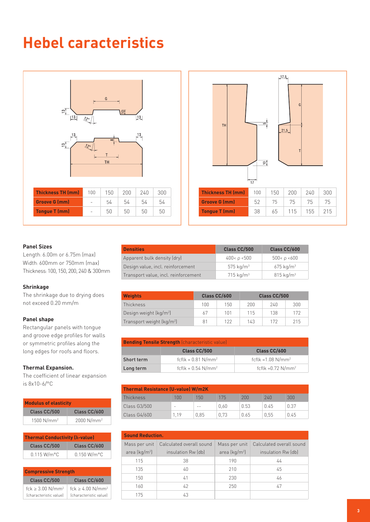# **Hebel caracteristics**





#### **Panel Sizes**

Length: 6.00m or 6.75m (max) Width: 600mm or 750mm (max) Thickness: 100, 150, 200, 240 & 300mm

#### **Shrinkage**

The shrinkage due to drying does not exceed 0.20 mm/m

### **Panel shape**

Rectangular panels with tongue and groove edge profiles for walls or symmetric profiles along the long edges for roofs and floors.

#### **Thermal Expansion.**

The coefficient of linear expansion is 8x10-6/°C

| <b>Modulus of elasticity</b> |               |  |  |  |
|------------------------------|---------------|--|--|--|
| Class CC/500<br>Class CC/600 |               |  |  |  |
| 1500 N/mm <sup>2</sup>       | 2000 $N/mm^2$ |  |  |  |

| <b>Thermal Conductivity (X-value)</b> |                |  |  |  |
|---------------------------------------|----------------|--|--|--|
| Class CC/500<br>Class CC/600          |                |  |  |  |
| $0.115 W/m$ °C                        | $0.150 W/m$ °C |  |  |  |

| <b>Compressive Strength</b>       |                                   |  |  |  |
|-----------------------------------|-----------------------------------|--|--|--|
| Class CC/500                      | Class CC/600                      |  |  |  |
| fck $\geq$ 3.00 N/mm <sup>2</sup> | fck $\geq 4.00$ N/mm <sup>2</sup> |  |  |  |
| (characteristic value)            | (characteristic value)            |  |  |  |

| <b>Densities</b>                     | Class CC/500         | Class CC/600         |
|--------------------------------------|----------------------|----------------------|
| Apparent bulk density (dry)          | $400<\rho<500$       | $500 < \rho < 600$   |
| Design value, incl. reinforcement    | $575 \text{ kg/m}^3$ | $675 \text{ kg/m}^3$ |
| Transport value, incl. reinforcement | $715 \text{ kg/m}^3$ | $815 \text{ kg/m}^3$ |

| <b>Weights</b>                                 | Class CC/600 |     | Class CC/500 |     |     |
|------------------------------------------------|--------------|-----|--------------|-----|-----|
| Thickness                                      | 100          | 150 | 200          | 240 | 300 |
| Design weight (kg/m <sup>2</sup> )             | 67           | 101 | 115          | 138 | 172 |
| Transport weight $\left[\frac{kq}{m^2}\right]$ | 81           | 122 | 143          | 172 | 215 |

| <b>Bending Tensile Strength (characteristic value)</b> |                                  |                                  |  |  |  |
|--------------------------------------------------------|----------------------------------|----------------------------------|--|--|--|
|                                                        | Class CC/600<br>Class CC/500     |                                  |  |  |  |
| Short term                                             | fcflk = $0.81$ N/mm <sup>2</sup> | fcflk = 1.08 $N/mm^2$            |  |  |  |
| Long term                                              | fcflk = $0.54$ N/mm <sup>2</sup> | fcflk = $0.72$ N/mm <sup>2</sup> |  |  |  |

| <b>Thermal Resistance (U-value) W/m2K</b> |       |      |      |      |      |      |
|-------------------------------------------|-------|------|------|------|------|------|
| Thickness                                 | 100   | 15ก  | 175  | 200  | 240  | 300  |
| Class G3/500                              |       | $ -$ | 0.60 | 0.53 | 0.45 | በ 37 |
| <b>Class G4/600</b>                       | 1 1 9 | 0.85 | 0.73 | 0.65 | 0.55 | 1.45 |

| <b>Sound Reduction.</b> |                          |                                    |                          |  |  |  |
|-------------------------|--------------------------|------------------------------------|--------------------------|--|--|--|
| Mass per unit           | Calculated overall sound | Mass per unit                      | Calculated overall sound |  |  |  |
| area ( $kg/m2$ )        | insulation Rw (db)       | area $\left[\frac{kq}{m^2}\right]$ | insulation Rw (db)       |  |  |  |
| 115                     | 38                       | 190                                | 44                       |  |  |  |
| 135                     | 40                       | 210                                | 45                       |  |  |  |
| 150                     | 41                       | 230                                | 46                       |  |  |  |
| 160                     | 42                       | 250                                | 47                       |  |  |  |
| 175                     | 43                       |                                    |                          |  |  |  |
|                         |                          |                                    |                          |  |  |  |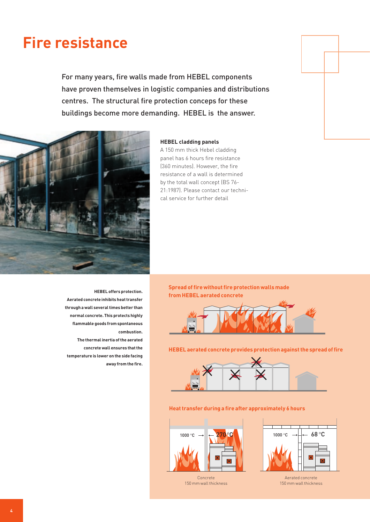# **Fire resistance**

For many years, fire walls made from HEBEL components have proven themselves in logistic companies and distributions centres. The structural fire protection conceps for these buildings become more demanding. HEBEL is the answer.



#### **HEBEL cladding panels**

A 150 mm thick Hebel cladding panel has 6 hours fire resistance (360 minutes). However, the fire resistance of a wall is determined by the total wall concept (BS 76- 21:1987). Please contact our technical service for further detail

**Spread of fire without fire protection walls made from HEBEL aerated concrete HEBEL offers protection.** 



**HEBEL aerated concrete provides protection against the spread of fire**



#### **Heat transfer during a fire after approximately 6 hours**



150 mm wall thickness



Aerated concrete 150 mm wall thickness

**Aerated concrete inhibits heat transfer through a wall several times better than normal concrete. This protects highly flammable goods from spontaneous combustion.**

**The thermal inertia of the aerated concrete wall ensures that the temperature is lower on the side facing away from the fire.**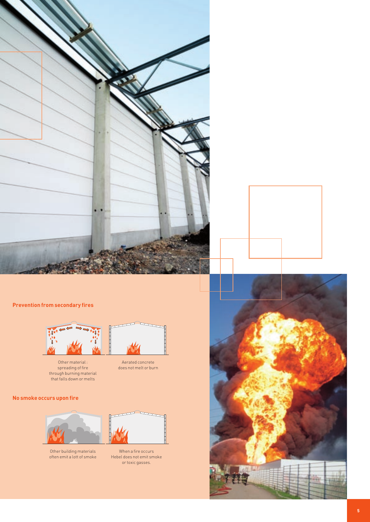

#### **Prevention from secondary fires**



Other material : spreading of fire through burning material that falls down or melts



 $\mathbb{R}$ 

Aerated concrete does not melt or burn

#### **No smoke occurs upon fire**



Other building materials often emit a lott of smoke



When a fire occurs Hebel does not emit smoke or toxic gasses.



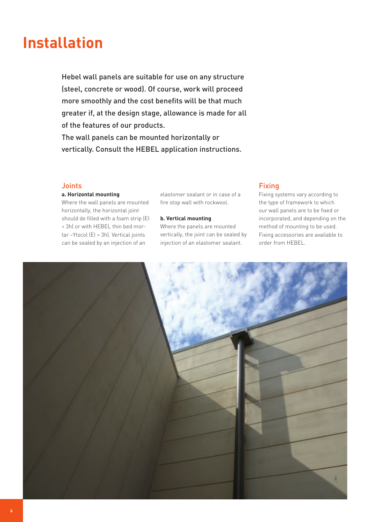## **Installation**

Hebel wall panels are suitable for use on any structure (steel, concrete or wood). Of course, work will proceed more smoothly and the cost benefits will be that much greater if, at the design stage, allowance is made for all of the features of our products.

The wall panels can be mounted horizontally or vertically. Consult the HEBEL application instructions.

### Joints

#### **a. Horizontal mounting**

Where the wall panels are mounted horizontally, the horizontal joint should de filled with a foam strip (EI < 3h) or with HEBEL thin bed mortar –Ytocol (EI > 3h). Vertical joints can be sealed by an injection of an

elastomer sealant or in case of a fire stop wall with rockwool.

#### **b. Vertical mounting**

Where the panels are mounted vertically, the joint can be sealed by injection of an elastomer sealant.

#### Fixing

Fixing systems vary according to the type of framework to which our wall panels are to be fixed or incorporated, and depending on the method of mounting to be used. Fixing accessories are available to order from HEBEL.

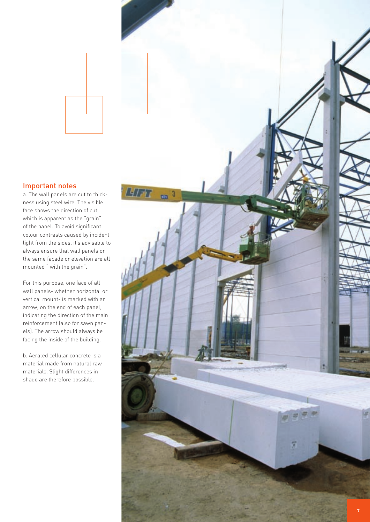### Important notes

a. The wall panels are cut to thick ness using steel wire. The visible face shows the direction of cut which is apparent as the "grain" of the panel. To avoid significant colour contrasts caused by incident light from the sides, it's advisable to always ensure that wall panels on the same façade or elevation are all mounted " with the grain".

For this purpose, one face of all wall panels- whether horizontal or vertical mount- is marked with an arrow, on the end of each panel, indicating the direction of the main reinforcement (also for sawn pan els). The arrow should always be facing the inside of the building.

b. Aerated cellular concrete is a material made from natural raw materials. Slight differences in shade are therefore possible.